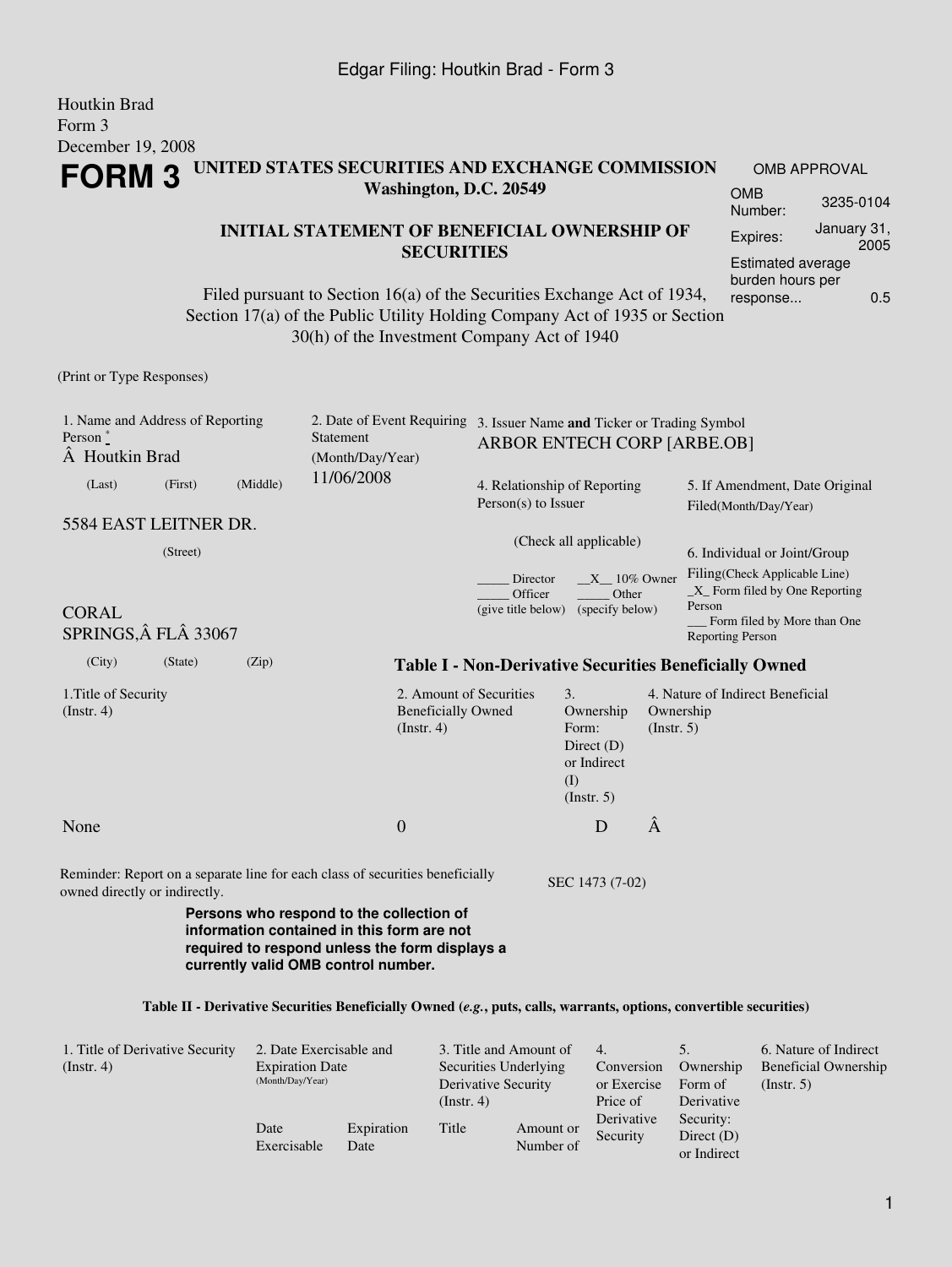#### Houtkin Brad Form 3 December 19, 2008 **FORM 3 UNITED STATES SECURITIES AND EXCHANGE COMMISSION Washington, D.C. 20549 INITIAL STATEMENT OF BENEFICIAL OWNERSHIP OF SECURITIES** Filed pursuant to Section 16(a) of the Securities Exchange Act of 1934, Section 17(a) of the Public Utility Holding Company Act of 1935 or Section 30(h) of the Investment Company Act of 1940 OMB APPROVAL OMB Number: 3235-0104 Expires: January 31, 2005 Estimated average burden hours per response... 0.5 (Print or Type Responses) 1. Name and Address of Reporting 2. Date of Event Requiring 3. Issuer Name **and** Ticker or Trading Symbol

| Person $\degree$<br>A Houtkin Brad                                        |                                                     | <b>Statement</b><br>(Month/Day/Year) |                                     | $\sim$ 3. ISSUEL IVALUE <b>and</b> TICKET OF TRADING SYMBOL<br>ARBOR ENTECH CORP [ARBE.OB]                                                                                                                                                                                        |                                                                                                                                                                      |                                                                                                                                                                                           |  |  |
|---------------------------------------------------------------------------|-----------------------------------------------------|--------------------------------------|-------------------------------------|-----------------------------------------------------------------------------------------------------------------------------------------------------------------------------------------------------------------------------------------------------------------------------------|----------------------------------------------------------------------------------------------------------------------------------------------------------------------|-------------------------------------------------------------------------------------------------------------------------------------------------------------------------------------------|--|--|
|                                                                           |                                                     | 11/06/2008                           |                                     |                                                                                                                                                                                                                                                                                   | 5. If Amendment, Date Original<br>Filed(Month/Day/Year)                                                                                                              |                                                                                                                                                                                           |  |  |
| 5584 EAST LEITNER DR.<br>(Street)<br><b>CORAL</b><br>SPRINGS, Â FLÂ 33067 |                                                     |                                      | Officer                             |                                                                                                                                                                                                                                                                                   | 6. Individual or Joint/Group<br>Filing(Check Applicable Line)<br>$X$ Form filed by One Reporting<br>Person<br>Form filed by More than One<br><b>Reporting Person</b> |                                                                                                                                                                                           |  |  |
|                                                                           | (Zip)                                               |                                      |                                     |                                                                                                                                                                                                                                                                                   |                                                                                                                                                                      |                                                                                                                                                                                           |  |  |
|                                                                           |                                                     | $($ Instr. 4 $)$                     |                                     | 3.<br>Ownership<br>Form:<br>Direct $(D)$<br>or Indirect<br>(I)<br>$($ Instr. 5 $)$                                                                                                                                                                                                | Ownership<br>(Insert. 5)                                                                                                                                             | 4. Nature of Indirect Beneficial                                                                                                                                                          |  |  |
|                                                                           |                                                     | $\mathbf{0}$                         |                                     | D                                                                                                                                                                                                                                                                                 | Â                                                                                                                                                                    |                                                                                                                                                                                           |  |  |
|                                                                           |                                                     |                                      |                                     |                                                                                                                                                                                                                                                                                   |                                                                                                                                                                      |                                                                                                                                                                                           |  |  |
|                                                                           | (First)<br>(State)<br>owned directly or indirectly. | (Middle)                             | currently valid OMB control number. | 2. Amount of Securities<br><b>Beneficially Owned</b><br>Reminder: Report on a separate line for each class of securities beneficially<br>Persons who respond to the collection of<br>information contained in this form are not<br>required to respond unless the form displays a | $Person(s)$ to Issuer<br>Director<br>(give title below)                                                                                                              | 4. Relationship of Reporting<br>(Check all applicable)<br>$X_1$ 10% Owner<br>Other<br>(specify below)<br><b>Table I - Non-Derivative Securities Beneficially Owned</b><br>SEC 1473 (7-02) |  |  |

#### **Table II - Derivative Securities Beneficially Owned (***e.g.***, puts, calls, warrants, options, convertible securities)**

| 1. Title of Derivative Security<br>$($ Instr. 4 $)$ | 2. Date Exercisable and<br><b>Expiration Date</b><br>(Month/Day/Year) |                    | $($ Instr. 4 $)$ | 3. Title and Amount of<br>Securities Underlying<br>Derivative Security |                        | Ownership<br>Form of<br>Derivative       | 6. Nature of Indirect<br><b>Beneficial Ownership</b><br>(Insert. 5) |
|-----------------------------------------------------|-----------------------------------------------------------------------|--------------------|------------------|------------------------------------------------------------------------|------------------------|------------------------------------------|---------------------------------------------------------------------|
|                                                     | Date<br>Exercisable                                                   | Expiration<br>Date | Title            | Amount or<br>Number of                                                 | Derivative<br>Security | Security:<br>Direct $(D)$<br>or Indirect |                                                                     |